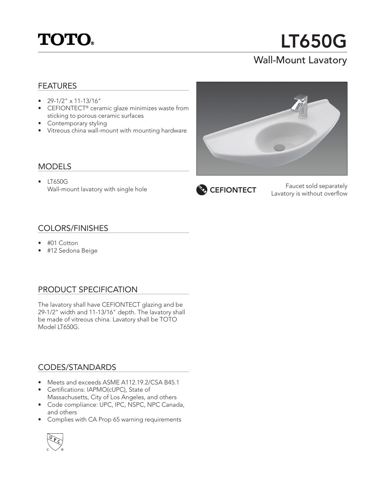

# LT650G

## Wall-Mount Lavatory

#### FEATURES

- 29-1/2" x 11-13/16"
- CEFIONTECT® ceramic glaze minimizes waste from sticking to porous ceramic surfaces
- Contemporary styling
- Vitreous china wall-mount with mounting hardware

#### MODELS

• LT650G Wall-mount lavatory with single hole



Faucet sold separately **CEFIONTECT** Equatory is without overflow

#### COLORS/FINISHES

- #01 Cotton
- #12 Sedona Beige

### PRODUCT SPECIFICATION

The lavatory shall have CEFIONTECT glazing and be 29-1/2" width and 11-13/16" depth. The lavatory shall be made of vitreous china. Lavatory shall be TOTO Model LT650G.

#### CODES/STANDARDS

- Meets and exceeds ASME A112.19.2/CSA B45.1
- Certifications: IAPMO(cUPC), State of Massachusetts, City of Los Angeles, and others
- Code compliance: UPC, IPC, NSPC, NPC Canada, and others
- Complies with CA Prop 65 warning requirements